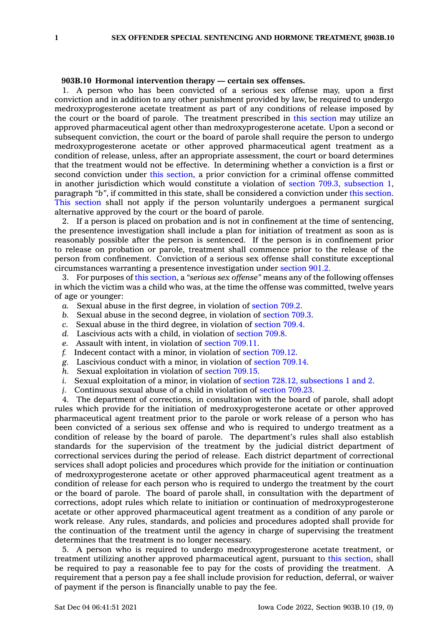## **903B.10 Hormonal intervention therapy — certain sex offenses.**

1. A person who has been convicted of <sup>a</sup> serious sex offense may, upon <sup>a</sup> first conviction and in addition to any other punishment provided by law, be required to undergo medroxyprogesterone acetate treatment as part of any conditions of release imposed by the court or the board of parole. The treatment prescribed in this [section](https://www.legis.iowa.gov/docs/code/903B.10.pdf) may utilize an approved pharmaceutical agent other than medroxyprogesterone acetate. Upon <sup>a</sup> second or subsequent conviction, the court or the board of parole shall require the person to undergo medroxyprogesterone acetate or other approved pharmaceutical agent treatment as <sup>a</sup> condition of release, unless, after an appropriate assessment, the court or board determines that the treatment would not be effective. In determining whether <sup>a</sup> conviction is <sup>a</sup> first or second conviction under this [section](https://www.legis.iowa.gov/docs/code/903B.10.pdf), <sup>a</sup> prior conviction for <sup>a</sup> criminal offense committed in another jurisdiction which would constitute <sup>a</sup> violation of section 709.3, [subsection](https://www.legis.iowa.gov/docs/code/709.3.pdf) 1, paragraph *"b"*, if committed in this state, shall be considered <sup>a</sup> conviction under this [section](https://www.legis.iowa.gov/docs/code/903B.10.pdf). This [section](https://www.legis.iowa.gov/docs/code/903B.10.pdf) shall not apply if the person voluntarily undergoes <sup>a</sup> permanent surgical alternative approved by the court or the board of parole.

2. If <sup>a</sup> person is placed on probation and is not in confinement at the time of sentencing, the presentence investigation shall include <sup>a</sup> plan for initiation of treatment as soon as is reasonably possible after the person is sentenced. If the person is in confinement prior to release on probation or parole, treatment shall commence prior to the release of the person from confinement. Conviction of <sup>a</sup> serious sex offense shall constitute exceptional circumstances warranting <sup>a</sup> presentence investigation under [section](https://www.legis.iowa.gov/docs/code/901.2.pdf) 901.2.

3. For purposes of this [section](https://www.legis.iowa.gov/docs/code/903B.10.pdf), <sup>a</sup> *"serious sex offense"* means any of the following offenses in which the victim was <sup>a</sup> child who was, at the time the offense was committed, twelve years of age or younger:

- *a.* Sexual abuse in the first degree, in violation of [section](https://www.legis.iowa.gov/docs/code/709.2.pdf) 709.2.
- *b.* Sexual abuse in the second degree, in violation of [section](https://www.legis.iowa.gov/docs/code/709.3.pdf) 709.3.
- *c.* Sexual abuse in the third degree, in violation of [section](https://www.legis.iowa.gov/docs/code/709.4.pdf) 709.4.
- *d.* Lascivious acts with <sup>a</sup> child, in violation of [section](https://www.legis.iowa.gov/docs/code/709.8.pdf) 709.8.
- *e.* Assault with intent, in violation of [section](https://www.legis.iowa.gov/docs/code/709.11.pdf) 709.11.
- *f.* Indecent contact with <sup>a</sup> minor, in violation of [section](https://www.legis.iowa.gov/docs/code/709.12.pdf) 709.12.
- *g.* Lascivious conduct with <sup>a</sup> minor, in violation of [section](https://www.legis.iowa.gov/docs/code/709.14.pdf) 709.14.
- *h.* Sexual exploitation in violation of [section](https://www.legis.iowa.gov/docs/code/709.15.pdf) 709.15.
- *i.* Sexual exploitation of a minor, in violation of section 728.12, [subsections](https://www.legis.iowa.gov/docs/code/728.12.pdf) 1 and 2.
- *j.* Continuous sexual abuse of <sup>a</sup> child in violation of [section](https://www.legis.iowa.gov/docs/code/709.23.pdf) 709.23.

4. The department of corrections, in consultation with the board of parole, shall adopt rules which provide for the initiation of medroxyprogesterone acetate or other approved pharmaceutical agent treatment prior to the parole or work release of <sup>a</sup> person who has been convicted of <sup>a</sup> serious sex offense and who is required to undergo treatment as <sup>a</sup> condition of release by the board of parole. The department's rules shall also establish standards for the supervision of the treatment by the judicial district department of correctional services during the period of release. Each district department of correctional services shall adopt policies and procedures which provide for the initiation or continuation of medroxyprogesterone acetate or other approved pharmaceutical agent treatment as <sup>a</sup> condition of release for each person who is required to undergo the treatment by the court or the board of parole. The board of parole shall, in consultation with the department of corrections, adopt rules which relate to initiation or continuation of medroxyprogesterone acetate or other approved pharmaceutical agent treatment as <sup>a</sup> condition of any parole or work release. Any rules, standards, and policies and procedures adopted shall provide for the continuation of the treatment until the agency in charge of supervising the treatment determines that the treatment is no longer necessary.

5. A person who is required to undergo medroxyprogesterone acetate treatment, or treatment utilizing another approved pharmaceutical agent, pursuant to this [section](https://www.legis.iowa.gov/docs/code/903B.10.pdf), shall be required to pay <sup>a</sup> reasonable fee to pay for the costs of providing the treatment. A requirement that <sup>a</sup> person pay <sup>a</sup> fee shall include provision for reduction, deferral, or waiver of payment if the person is financially unable to pay the fee.